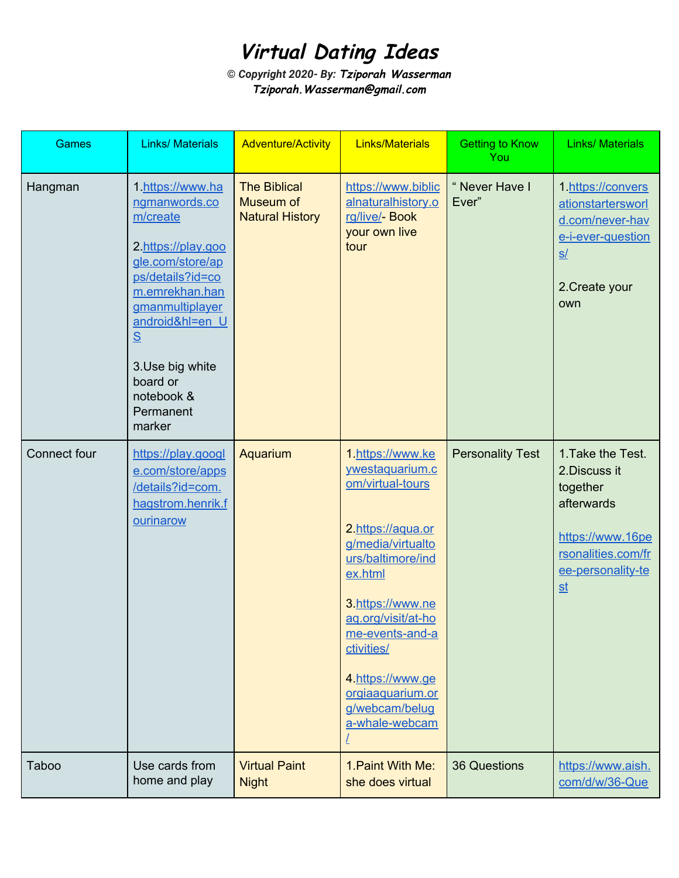# **Virtual Dating Ideas**

**©** *Copyright 2020- By:* **Tziporah Wasserman Tziporah.Wasserman@gmail.com**

| Games        | <b>Links/ Materials</b>                                                                                                                                                                                                                      | <b>Adventure/Activity</b>                                  | <b>Links/Materials</b>                                                                                                                                                                                                                                                                   | <b>Getting to Know</b><br>You | <b>Links/ Materials</b>                                                                                                                                  |
|--------------|----------------------------------------------------------------------------------------------------------------------------------------------------------------------------------------------------------------------------------------------|------------------------------------------------------------|------------------------------------------------------------------------------------------------------------------------------------------------------------------------------------------------------------------------------------------------------------------------------------------|-------------------------------|----------------------------------------------------------------------------------------------------------------------------------------------------------|
| Hangman      | 1.https://www.ha<br>ngmanwords.co<br>m/create<br>2.https://play.goo<br>gle.com/store/ap<br>ps/details?id=co<br>m.emrekhan.han<br>gmanmultiplayer<br>android&hl=en U<br>S<br>3.Use big white<br>board or<br>notebook &<br>Permanent<br>marker | <b>The Biblical</b><br>Museum of<br><b>Natural History</b> | https://www.biblic<br>alnaturalhistory.o<br>rg/live/- Book<br>your own live<br>tour                                                                                                                                                                                                      | "Never Have I<br>Ever"        | 1.https://convers<br>ationstartersworl<br>d.com/never-hav<br>e-i-ever-question<br>S/<br>2. Create your<br>own                                            |
| Connect four | https://play.googl<br>e.com/store/apps<br>/details?id=com.<br>hagstrom.henrik.f<br>ourinarow                                                                                                                                                 | Aquarium                                                   | 1.https://www.ke<br>ywestaquarium.c<br>om/virtual-tours<br>2.https://aqua.or<br>g/media/virtualto<br>urs/baltimore/ind<br>ex.html<br>3.https://www.ne<br>ag.org/visit/at-ho<br>me-events-and-a<br>ctivities/<br>4.https://www.ge<br>orgiaaquarium.or<br>g/webcam/belug<br>a-whale-webcam | <b>Personality Test</b>       | 1. Take the Test.<br>2. Discuss it<br>together<br>afterwards<br>https://www.16pe<br>rsonalities.com/fr<br>ee-personality-te<br>$\underline{\mathsf{st}}$ |
| <b>Taboo</b> | Use cards from<br>home and play                                                                                                                                                                                                              | <b>Virtual Paint</b><br><b>Night</b>                       | 1. Paint With Me:<br>she does virtual                                                                                                                                                                                                                                                    | <b>36 Questions</b>           | https://www.aish.<br>com/d/w/36-Que                                                                                                                      |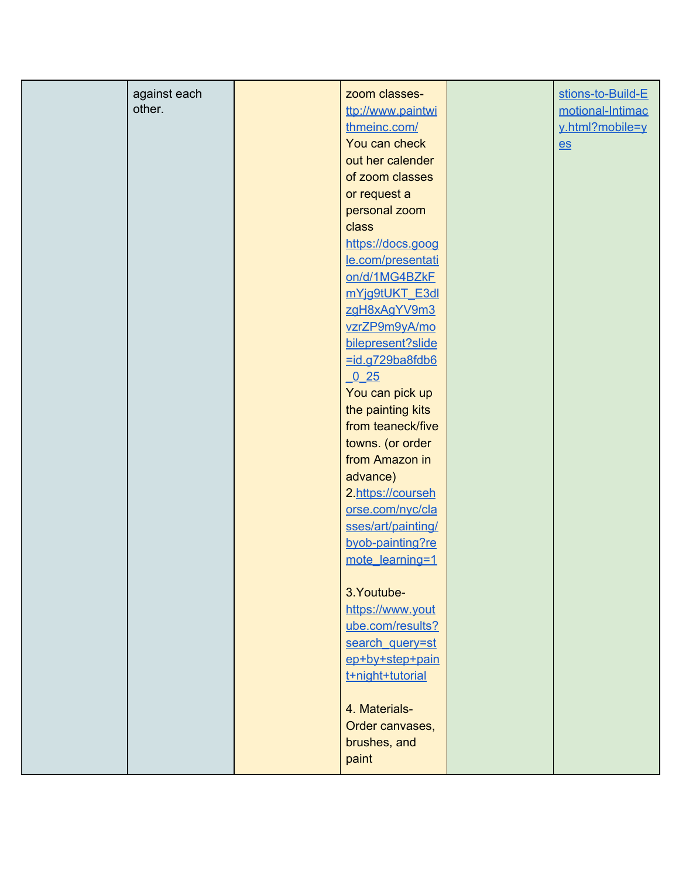| against each | zoom classes-      | stions-to-Build-E |
|--------------|--------------------|-------------------|
| other.       | ttp://www.paintwi  | motional-Intimac  |
|              | thmeinc.com/       | y.html?mobile=y   |
|              | You can check      | $es$              |
|              | out her calender   |                   |
|              | of zoom classes    |                   |
|              | or request a       |                   |
|              | personal zoom      |                   |
|              | class              |                   |
|              | https://docs.goog  |                   |
|              | le.com/presentati  |                   |
|              | on/d/1MG4BZkF      |                   |
|              | mYjg9tUKT_E3dl     |                   |
|              | zgH8xAgYV9m3       |                   |
|              | vzrZP9m9yA/mo      |                   |
|              | bilepresent?slide  |                   |
|              | =id.g729ba8fdb6    |                   |
|              | 0 <sub>25</sub>    |                   |
|              | You can pick up    |                   |
|              | the painting kits  |                   |
|              | from teaneck/five  |                   |
|              | towns. (or order   |                   |
|              | from Amazon in     |                   |
|              | advance)           |                   |
|              | 2.https://courseh  |                   |
|              | orse.com/nyc/cla   |                   |
|              | sses/art/painting/ |                   |
|              | byob-painting?re   |                   |
|              | mote_learning=1    |                   |
|              |                    |                   |
|              | 3. Youtube-        |                   |
|              | https://www.yout   |                   |
|              | ube.com/results?   |                   |
|              | search_query=st    |                   |
|              | ep+by+step+pain    |                   |
|              | t+night+tutorial   |                   |
|              |                    |                   |
|              | 4. Materials-      |                   |
|              | Order canvases,    |                   |
|              | brushes, and       |                   |
|              |                    |                   |
|              | paint              |                   |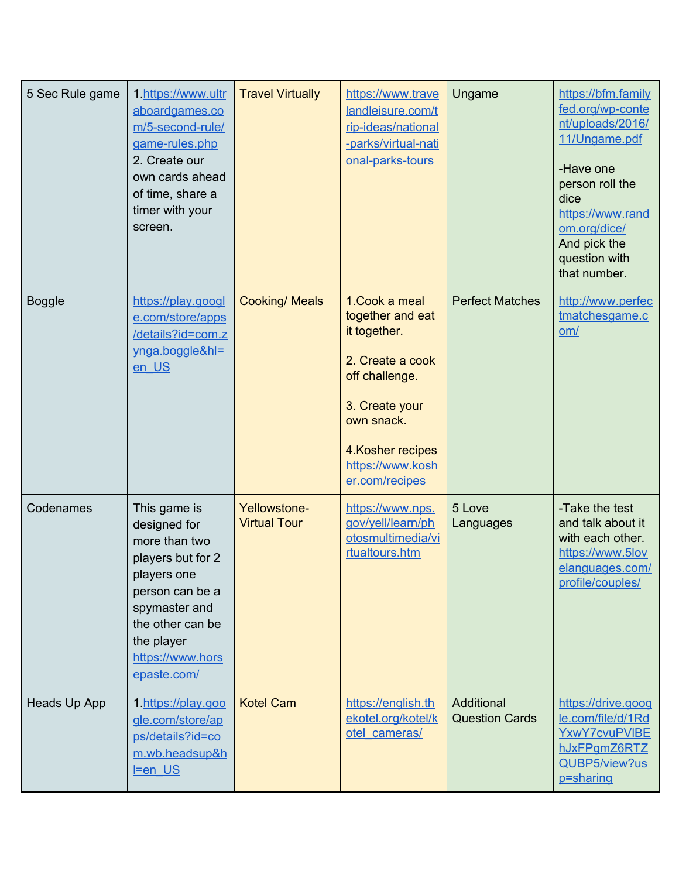| 5 Sec Rule game | 1.https://www.ultr<br>aboardgames.co<br>m/5-second-rule/<br>game-rules.php<br>2. Create our<br>own cards ahead<br>of time, share a<br>timer with your<br>screen.                           | <b>Travel Virtually</b>             | https://www.trave<br>landleisure.com/t<br>rip-ideas/national<br>-parks/virtual-nati<br>onal-parks-tours                                                                             | Ungame                              | https://bfm.family<br>fed.org/wp-conte<br>nt/uploads/2016/<br>11/Ungame.pdf<br>-Have one<br>person roll the<br>dice<br>https://www.rand<br>om.org/dice/<br>And pick the<br>question with<br>that number. |
|-----------------|--------------------------------------------------------------------------------------------------------------------------------------------------------------------------------------------|-------------------------------------|-------------------------------------------------------------------------------------------------------------------------------------------------------------------------------------|-------------------------------------|----------------------------------------------------------------------------------------------------------------------------------------------------------------------------------------------------------|
| <b>Boggle</b>   | https://play.googl<br>e.com/store/apps<br>/details?id=com.z<br>ynga.boggle&hl=<br>en US                                                                                                    | <b>Cooking/ Meals</b>               | 1. Cook a meal<br>together and eat<br>it together.<br>2. Create a cook<br>off challenge.<br>3. Create your<br>own snack.<br>4. Kosher recipes<br>https://www.kosh<br>er.com/recipes | <b>Perfect Matches</b>              | http://www.perfec<br>tmatchesgame.c<br>om/                                                                                                                                                               |
| Codenames       | This game is<br>designed for<br>more than two<br>players but for 2<br>players one<br>person can be a<br>spymaster and<br>the other can be<br>the player<br>https://www.hors<br>epaste.com/ | Yellowstone-<br><b>Virtual Tour</b> | https://www.nps.<br>gov/yell/learn/ph<br>otosmultimedia/vi<br>rtualtours.htm                                                                                                        | 5 Love<br>Languages                 | -Take the test<br>and talk about it<br>with each other.<br>https://www.5lov<br>elanguages.com/<br>profile/couples/                                                                                       |
| Heads Up App    | 1.https://play.goo<br>gle.com/store/ap<br>ps/details?id=co<br>m.wb.headsup&h<br>$I = en$ US                                                                                                | <b>Kotel Cam</b>                    | https://english.th<br>ekotel.org/kotel/k<br>otel cameras/                                                                                                                           | Additional<br><b>Question Cards</b> | https://drive.goog<br>le.com/file/d/1Rd<br>YxwY7cvuPVIBE<br>hJxFPgmZ6RTZ<br>QUBP5/view?us<br>p=sharing                                                                                                   |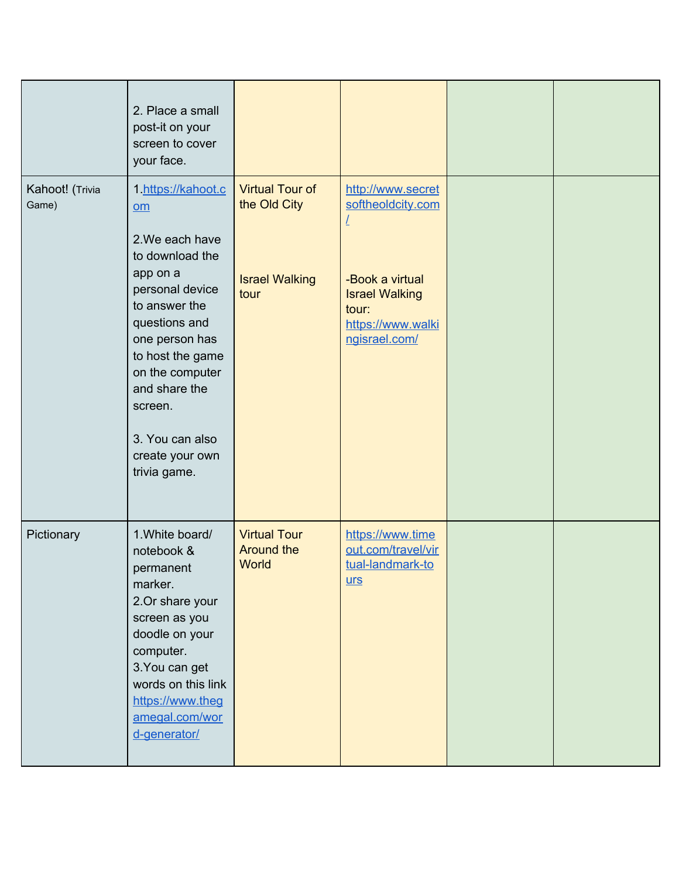|                          | 2. Place a small<br>post-it on your<br>screen to cover<br>your face.                                                                                                                                                                                                          |                                                                         |                                                                                                                                   |  |
|--------------------------|-------------------------------------------------------------------------------------------------------------------------------------------------------------------------------------------------------------------------------------------------------------------------------|-------------------------------------------------------------------------|-----------------------------------------------------------------------------------------------------------------------------------|--|
| Kahoot! (Trivia<br>Game) | 1. https://kahoot.c<br>$om$<br>2. We each have<br>to download the<br>app on a<br>personal device<br>to answer the<br>questions and<br>one person has<br>to host the game<br>on the computer<br>and share the<br>screen.<br>3. You can also<br>create your own<br>trivia game. | <b>Virtual Tour of</b><br>the Old City<br><b>Israel Walking</b><br>tour | http://www.secret<br>softheoldcity.com<br>-Book a virtual<br><b>Israel Walking</b><br>tour:<br>https://www.walki<br>ngisrael.com/ |  |
| Pictionary               | 1. White board/<br>notebook &<br>permanent<br>marker.<br>2.Or share your<br>screen as you<br>doodle on your<br>computer.<br>3. You can get<br>words on this link<br>https://www.theg<br>amegal.com/wor<br>d-generator/                                                        | <b>Virtual Tour</b><br><b>Around the</b><br>World                       | https://www.time<br>out.com/travel/vir<br>tual-landmark-to<br>$urs$                                                               |  |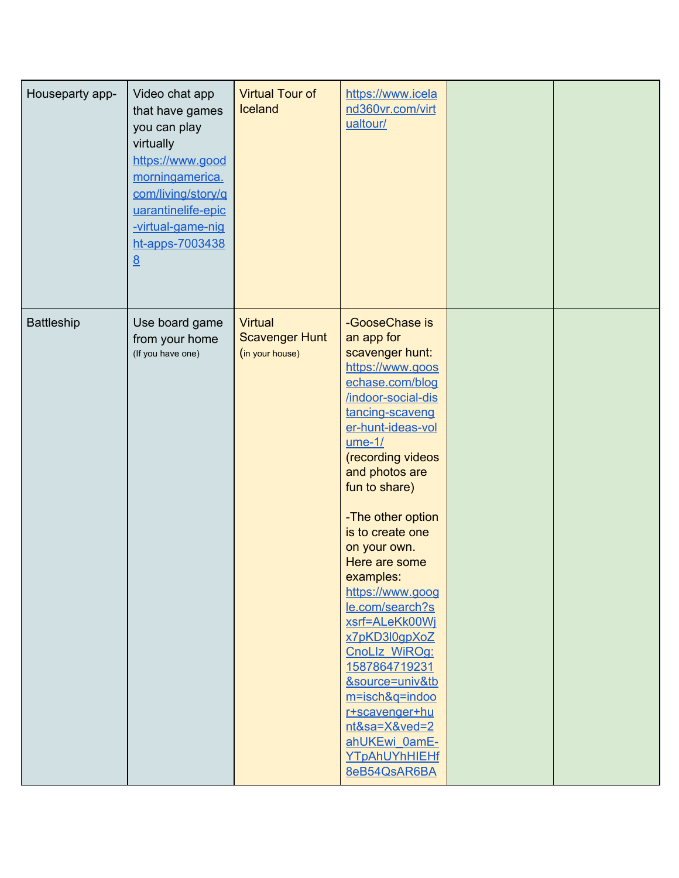| Houseparty app-   | Video chat app<br>that have games<br>you can play<br>virtually<br>https://www.good<br>morningamerica.<br>com/living/story/q<br>uarantinelife-epic<br>-virtual-game-nig<br>ht-apps-7003438<br>$\underline{8}$ | <b>Virtual Tour of</b><br>Iceland                          | https://www.icela<br>nd360vr.com/virt<br>ualtour/                                                                                                                                                                                                                                                                                                                                                                                                                                                                                                     |  |
|-------------------|--------------------------------------------------------------------------------------------------------------------------------------------------------------------------------------------------------------|------------------------------------------------------------|-------------------------------------------------------------------------------------------------------------------------------------------------------------------------------------------------------------------------------------------------------------------------------------------------------------------------------------------------------------------------------------------------------------------------------------------------------------------------------------------------------------------------------------------------------|--|
| <b>Battleship</b> | Use board game<br>from your home<br>(If you have one)                                                                                                                                                        | <b>Virtual</b><br><b>Scavenger Hunt</b><br>(in your house) | -GooseChase is<br>an app for<br>scavenger hunt:<br>https://www.goos<br>echase.com/blog<br>/indoor-social-dis<br>tancing-scaveng<br>er-hunt-ideas-vol<br>$ume-1/$<br>(recording videos<br>and photos are<br>fun to share)<br>-The other option<br>is to create one<br>on your own.<br>Here are some<br>examples:<br>https://www.goog<br>le.com/search?s<br>xsrf=ALeKk00Wj<br>x7pKD3l0gpXoZ<br>CnoLlz WiROg:<br>1587864719231<br>&source=univ&tb<br>m=isch&q=indoo<br>r+scavenger+hu<br>nt&sa=X&ved=2<br>ahUKEwi 0amE-<br>YTpAhUYhHIEHf<br>8eB54QsAR6BA |  |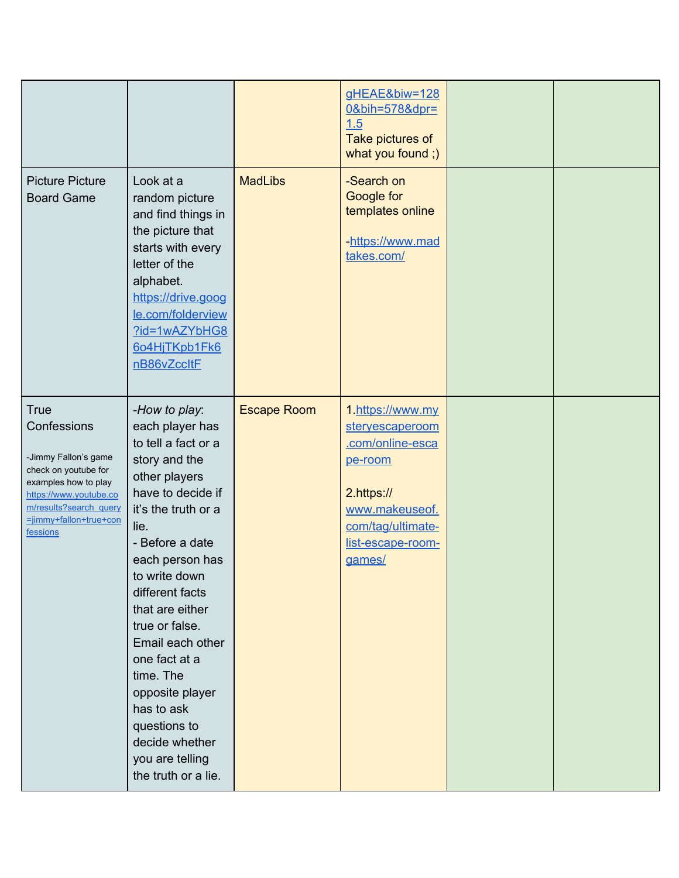|                                                                                                                                                                                              |                                                                                                                                                                                                                                                                                                                                                                                                                             |                    | gHEAE&biw=128<br>0&bih=578&dpr=<br>1.5<br>Take pictures of<br>what you found;)                                                                         |  |
|----------------------------------------------------------------------------------------------------------------------------------------------------------------------------------------------|-----------------------------------------------------------------------------------------------------------------------------------------------------------------------------------------------------------------------------------------------------------------------------------------------------------------------------------------------------------------------------------------------------------------------------|--------------------|--------------------------------------------------------------------------------------------------------------------------------------------------------|--|
| <b>Picture Picture</b><br><b>Board Game</b>                                                                                                                                                  | Look at a<br>random picture<br>and find things in<br>the picture that<br>starts with every<br>letter of the<br>alphabet.<br>https://drive.goog<br>le.com/folderview<br>?id=1wAZYbHG8<br>604HjTKpb1Fk6<br>nB86vZccltF                                                                                                                                                                                                        | <b>MadLibs</b>     | -Search on<br>Google for<br>templates online<br>-https://www.mad<br>takes.com/                                                                         |  |
| <b>True</b><br>Confessions<br>-Jimmy Fallon's game<br>check on youtube for<br>examples how to play<br>https://www.youtube.co<br>m/results?search_query<br>=jimmy+fallon+true+con<br>fessions | -How to play:<br>each player has<br>to tell a fact or a<br>story and the<br>other players<br>have to decide if<br>it's the truth or a<br>lie.<br>- Before a date<br>each person has<br>to write down<br>different facts<br>that are either<br>true or false.<br>Email each other<br>one fact at a<br>time. The<br>opposite player<br>has to ask<br>questions to<br>decide whether<br>you are telling<br>the truth or a lie. | <b>Escape Room</b> | 1.https://www.my<br>steryescaperoom<br>.com/online-esca<br>pe-room<br>2.https://<br>www.makeuseof.<br>com/tag/ultimate-<br>list-escape-room-<br>games/ |  |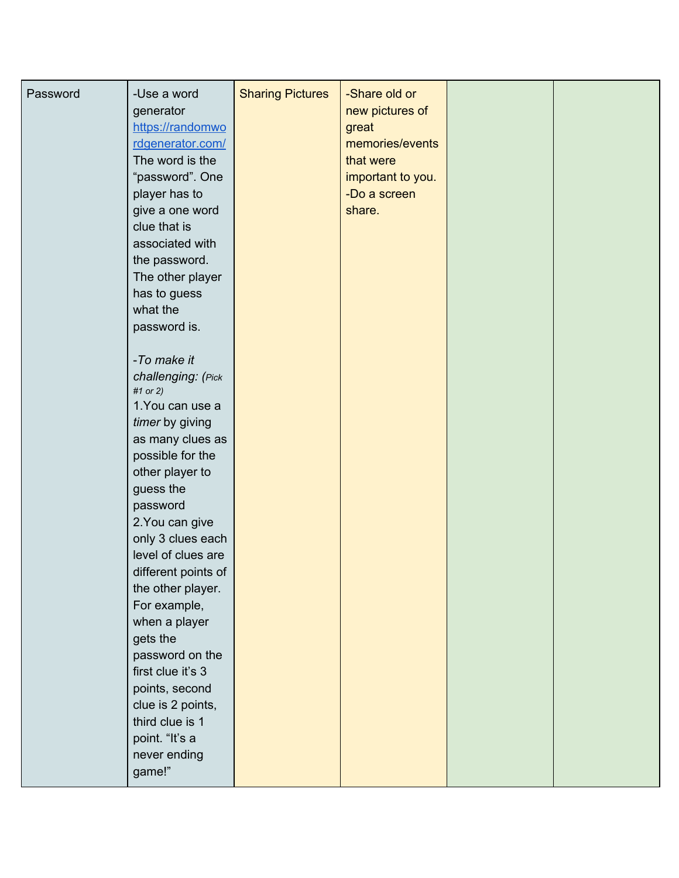| Password | -Use a word<br>generator<br>https://randomwo<br>rdgenerator.com/<br>The word is the<br>"password". One<br>player has to<br>give a one word<br>clue that is<br>associated with<br>the password.<br>The other player<br>has to guess<br>what the<br>password is.<br>-To make it<br>challenging: (Pick<br>#1 or 2)<br>1. You can use a<br>timer by giving<br>as many clues as<br>possible for the<br>other player to<br>guess the<br>password<br>2. You can give<br>only 3 clues each<br>level of clues are<br>different points of<br>the other player.<br>For example,<br>when a player<br>gets the<br>password on the | <b>Sharing Pictures</b> | -Share old or<br>new pictures of<br>great<br>memories/events<br>that were<br>important to you.<br>-Do a screen<br>share. |  |
|----------|----------------------------------------------------------------------------------------------------------------------------------------------------------------------------------------------------------------------------------------------------------------------------------------------------------------------------------------------------------------------------------------------------------------------------------------------------------------------------------------------------------------------------------------------------------------------------------------------------------------------|-------------------------|--------------------------------------------------------------------------------------------------------------------------|--|
|          | first clue it's 3<br>points, second<br>clue is 2 points,<br>third clue is 1<br>point. "It's a<br>never ending<br>game!"                                                                                                                                                                                                                                                                                                                                                                                                                                                                                              |                         |                                                                                                                          |  |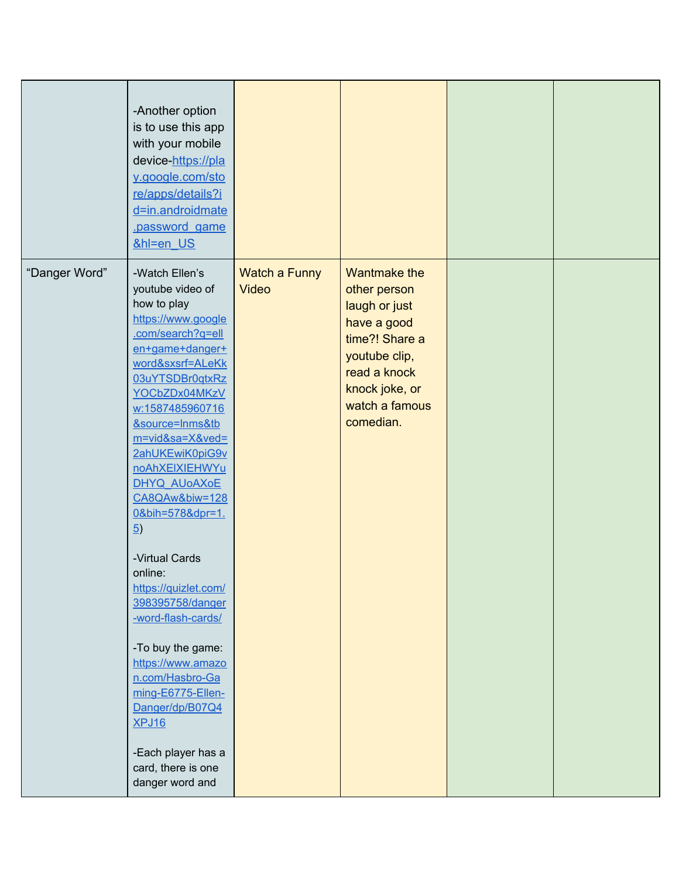|               | -Another option<br>is to use this app<br>with your mobile<br>device-https://pla<br>y.google.com/sto<br>re/apps/details?i<br>d=in.androidmate<br>password game<br>&hl=en US                                                                                                                                                                                                                                                                                                                                                                                                                                                        |                               |                                                                                                                                                                         |  |
|---------------|-----------------------------------------------------------------------------------------------------------------------------------------------------------------------------------------------------------------------------------------------------------------------------------------------------------------------------------------------------------------------------------------------------------------------------------------------------------------------------------------------------------------------------------------------------------------------------------------------------------------------------------|-------------------------------|-------------------------------------------------------------------------------------------------------------------------------------------------------------------------|--|
| "Danger Word" | -Watch Ellen's<br>youtube video of<br>how to play<br>https://www.google<br>.com/search?q=ell<br>en+game+danger+<br>word&sxsrf=ALeKk<br>03uYTSDBr0qtxRz<br>YOCbZDx04MKzV<br>w:1587485960716<br>&source=Inms&tb<br>m=vid&sa=X&ved=<br>2ahUKEwiK0piG9v<br>noAhXEIXIEHWYu<br>DHYQ AUoAXOE<br>CA8QAw&biw=128<br>0&bih=578&dpr=1.<br>$\underline{5}$<br>-Virtual Cards<br>online:<br>https://quizlet.com/<br>398395758/danger<br>-word-flash-cards/<br>-To buy the game:<br>https://www.amazo<br>n.com/Hasbro-Ga<br>ming-E6775-Ellen-<br>Danger/dp/B07Q4<br><b>XPJ16</b><br>-Each player has a<br>card, there is one<br>danger word and | Watch a Funny<br><b>Video</b> | <b>Wantmake the</b><br>other person<br>laugh or just<br>have a good<br>time?! Share a<br>youtube clip,<br>read a knock<br>knock joke, or<br>watch a famous<br>comedian. |  |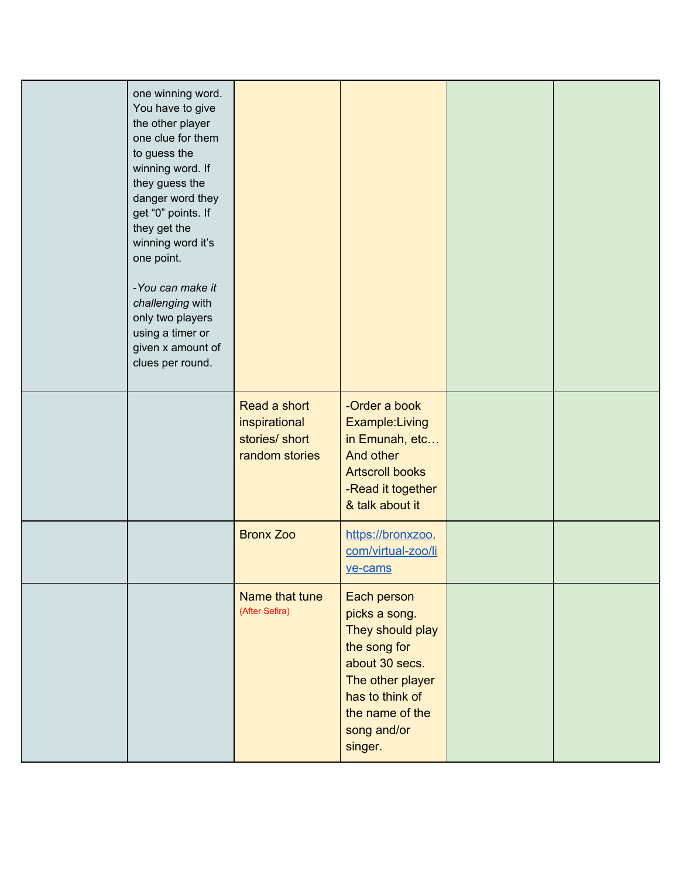| one winning word.<br>You have to give<br>the other player<br>one clue for them<br>to guess the<br>winning word. If<br>they guess the<br>danger word they<br>get "0" points. If<br>they get the<br>winning word it's<br>one point.<br>-You can make it<br>challenging with<br>only two players<br>using a timer or<br>given x amount of<br>clues per round. |                                                                   |                                                                                                                                                                        |  |
|------------------------------------------------------------------------------------------------------------------------------------------------------------------------------------------------------------------------------------------------------------------------------------------------------------------------------------------------------------|-------------------------------------------------------------------|------------------------------------------------------------------------------------------------------------------------------------------------------------------------|--|
|                                                                                                                                                                                                                                                                                                                                                            | Read a short<br>inspirational<br>stories/ short<br>random stories | -Order a book<br>Example: Living<br>in Emunah, etc<br>And other<br><b>Artscroll books</b><br>-Read it together<br>& talk about it                                      |  |
|                                                                                                                                                                                                                                                                                                                                                            | <b>Bronx Zoo</b>                                                  | https://bronxzoo.<br>com/virtual-zoo/li<br>ve-cams                                                                                                                     |  |
|                                                                                                                                                                                                                                                                                                                                                            | Name that tune<br>(After Sefira)                                  | Each person<br>picks a song.<br>They should play<br>the song for<br>about 30 secs.<br>The other player<br>has to think of<br>the name of the<br>song and/or<br>singer. |  |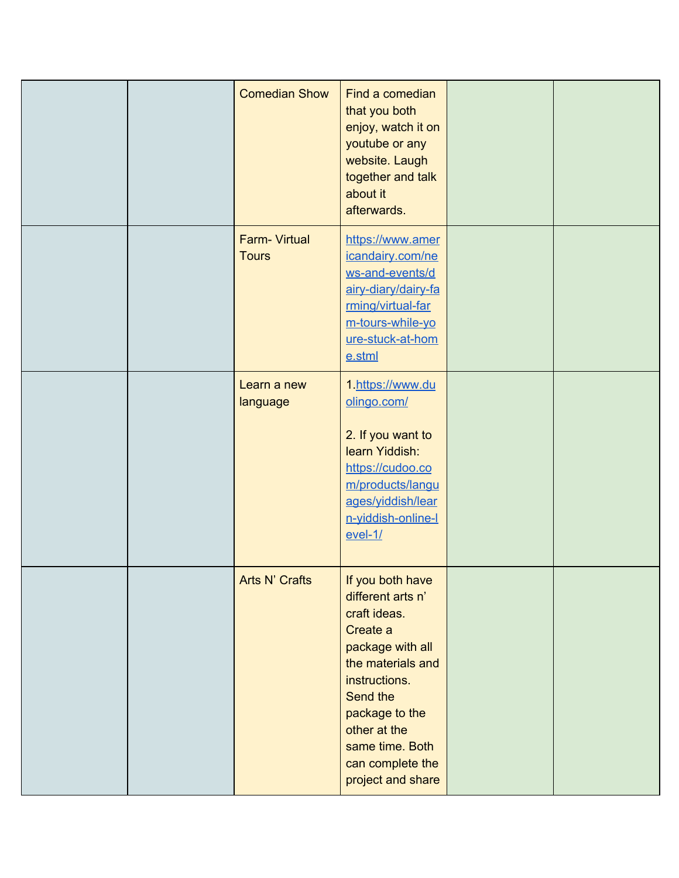|  | <b>Comedian Show</b>                | Find a comedian<br>that you both<br>enjoy, watch it on<br>youtube or any<br>website. Laugh<br>together and talk<br>about it<br>afterwards.                                                                                            |  |
|--|-------------------------------------|---------------------------------------------------------------------------------------------------------------------------------------------------------------------------------------------------------------------------------------|--|
|  | <b>Farm-Virtual</b><br><b>Tours</b> | https://www.amer<br>icandairy.com/ne<br>ws-and-events/d<br>airy-diary/dairy-fa<br>rming/virtual-far<br>m-tours-while-yo<br>ure-stuck-at-hom<br>$e.s$ tml                                                                              |  |
|  | Learn a new<br>language             | 1. https://www.du<br>olingo.com/<br>2. If you want to<br>learn Yiddish:<br>https://cudoo.co<br>m/products/langu<br>ages/yiddish/lear<br>n-yiddish-online-l<br>$evel-1/$                                                               |  |
|  | Arts N' Crafts                      | If you both have<br>different arts n'<br>craft ideas.<br>Create a<br>package with all<br>the materials and<br>instructions.<br>Send the<br>package to the<br>other at the<br>same time. Both<br>can complete the<br>project and share |  |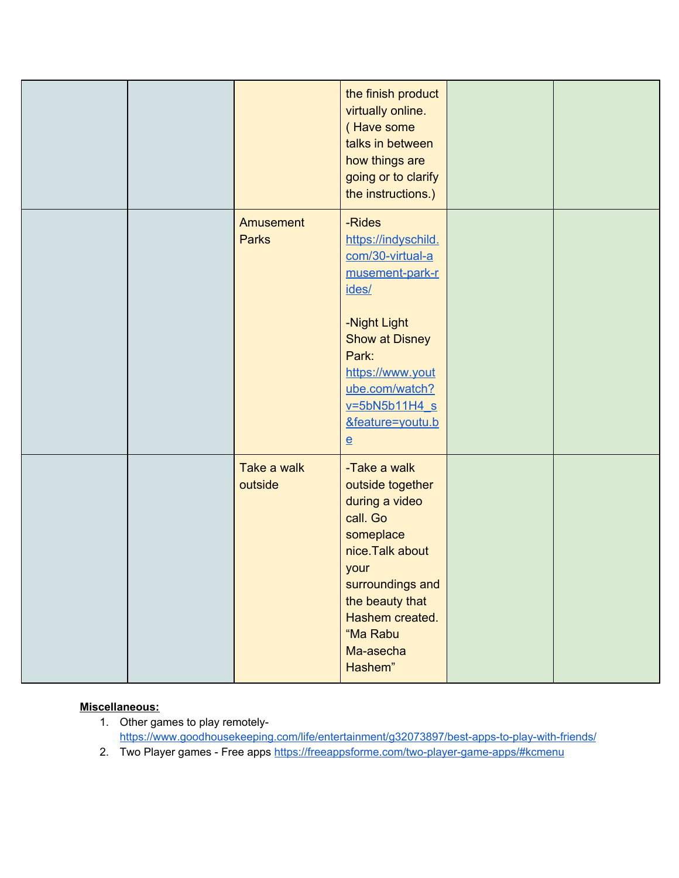|  |                           | the finish product<br>virtually online.<br>(Have some<br>talks in between<br>how things are<br>going or to clarify<br>the instructions.)                                                                                          |  |
|--|---------------------------|-----------------------------------------------------------------------------------------------------------------------------------------------------------------------------------------------------------------------------------|--|
|  | Amusement<br><b>Parks</b> | -Rides<br>https://indyschild.<br>com/30-virtual-a<br>musement-park-r<br>ides/<br>-Night Light<br><b>Show at Disney</b><br>Park:<br>https://www.yout<br>ube.com/watch?<br>$v = 5bN5b11H4 s$<br>&feature=youtu.b<br>$\underline{e}$ |  |
|  | Take a walk<br>outside    | -Take a walk<br>outside together<br>during a video<br>call. Go<br>someplace<br>nice. Talk about<br>your<br>surroundings and<br>the beauty that<br>Hashem created.<br>"Ma Rabu<br>Ma-asecha<br>Hashem"                             |  |

## **Miscellaneous:**

- 1. Other games to play remotely<https://www.goodhousekeeping.com/life/entertainment/g32073897/best-apps-to-play-with-friends/>
- 2. Two Player games Free apps <https://freeappsforme.com/two-player-game-apps/#kcmenu>